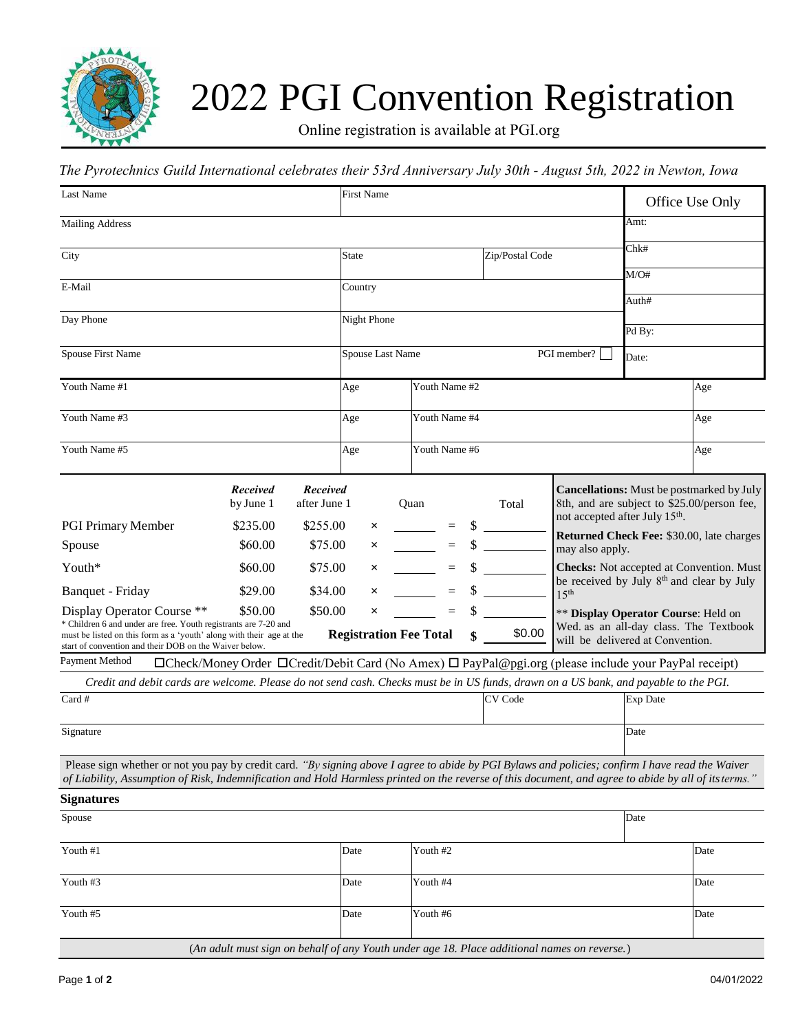

## 2022 PGI Convention Registration

Online registration is available at PGI.org

## *The Pyrotechnics Guild International celebrates their 53rd Anniversary July 30th - August 5th, 2022 in Newton, Iowa*

| Last Name                                                                                                                                                                                                                                                                                                 |                                                                                                                                                                                                                                                                                                                                                                                                          |                                             | <b>First Name</b> |  |                  | Office Use Only |                                                                                                                        |                                                                                                                                               |          |                                                 |  |
|-----------------------------------------------------------------------------------------------------------------------------------------------------------------------------------------------------------------------------------------------------------------------------------------------------------|----------------------------------------------------------------------------------------------------------------------------------------------------------------------------------------------------------------------------------------------------------------------------------------------------------------------------------------------------------------------------------------------------------|---------------------------------------------|-------------------|--|------------------|-----------------|------------------------------------------------------------------------------------------------------------------------|-----------------------------------------------------------------------------------------------------------------------------------------------|----------|-------------------------------------------------|--|
| <b>Mailing Address</b>                                                                                                                                                                                                                                                                                    |                                                                                                                                                                                                                                                                                                                                                                                                          |                                             |                   |  |                  |                 |                                                                                                                        |                                                                                                                                               | Amt:     |                                                 |  |
| City                                                                                                                                                                                                                                                                                                      |                                                                                                                                                                                                                                                                                                                                                                                                          |                                             | State             |  |                  |                 | Zip/Postal Code                                                                                                        |                                                                                                                                               | Chk#     |                                                 |  |
|                                                                                                                                                                                                                                                                                                           |                                                                                                                                                                                                                                                                                                                                                                                                          |                                             |                   |  |                  |                 |                                                                                                                        |                                                                                                                                               | M/O#     |                                                 |  |
| E-Mail                                                                                                                                                                                                                                                                                                    |                                                                                                                                                                                                                                                                                                                                                                                                          |                                             | Country           |  |                  |                 |                                                                                                                        |                                                                                                                                               | Auth#    |                                                 |  |
| Day Phone                                                                                                                                                                                                                                                                                                 |                                                                                                                                                                                                                                                                                                                                                                                                          |                                             | Night Phone       |  |                  |                 |                                                                                                                        |                                                                                                                                               |          |                                                 |  |
|                                                                                                                                                                                                                                                                                                           |                                                                                                                                                                                                                                                                                                                                                                                                          |                                             |                   |  |                  |                 |                                                                                                                        |                                                                                                                                               | Pd By:   |                                                 |  |
| Spouse First Name                                                                                                                                                                                                                                                                                         |                                                                                                                                                                                                                                                                                                                                                                                                          |                                             | Spouse Last Name  |  |                  |                 | PGI member?                                                                                                            |                                                                                                                                               | Date:    |                                                 |  |
| Youth Name #1                                                                                                                                                                                                                                                                                             |                                                                                                                                                                                                                                                                                                                                                                                                          |                                             | Age               |  | Youth Name #2    |                 |                                                                                                                        |                                                                                                                                               | Age      |                                                 |  |
| Youth Name #3                                                                                                                                                                                                                                                                                             |                                                                                                                                                                                                                                                                                                                                                                                                          |                                             | Age               |  | Youth Name #4    |                 |                                                                                                                        |                                                                                                                                               |          | Age                                             |  |
| Youth Name #5                                                                                                                                                                                                                                                                                             |                                                                                                                                                                                                                                                                                                                                                                                                          |                                             | Age               |  | Youth Name #6    |                 |                                                                                                                        |                                                                                                                                               | Age      |                                                 |  |
| <b>PGI Primary Member</b>                                                                                                                                                                                                                                                                                 | <b>Received</b><br>by June 1<br>\$235.00                                                                                                                                                                                                                                                                                                                                                                 | <b>Received</b><br>after June 1<br>\$255.00 |                   |  | Quan<br>$\equiv$ |                 | Total<br>$\frac{\text{S}}{\text{S}}$                                                                                   | <b>Cancellations:</b> Must be postmarked by July<br>8th, and are subject to \$25.00/person fee,<br>not accepted after July 15 <sup>th</sup> . |          |                                                 |  |
| Spouse                                                                                                                                                                                                                                                                                                    | \$60.00                                                                                                                                                                                                                                                                                                                                                                                                  | \$75.00                                     | $\times$<br>×     |  | $\equiv$         | \$              |                                                                                                                        |                                                                                                                                               |          | Returned Check Fee: \$30.00, late charges       |  |
| Youth*                                                                                                                                                                                                                                                                                                    | \$60.00                                                                                                                                                                                                                                                                                                                                                                                                  | \$75.00                                     | ×                 |  | $\equiv$         | S               |                                                                                                                        | may also apply.                                                                                                                               |          | <b>Checks:</b> Not accepted at Convention. Must |  |
| Banquet - Friday                                                                                                                                                                                                                                                                                          | \$29.00                                                                                                                                                                                                                                                                                                                                                                                                  | \$34.00                                     | ×                 |  | $\equiv$         | \$              |                                                                                                                        | be received by July 8 <sup>th</sup> and clear by July<br>15 <sup>th</sup>                                                                     |          |                                                 |  |
| Display Operator Course **                                                                                                                                                                                                                                                                                | \$50.00<br>\$50.00<br>×<br>$\equiv$<br>** Display Operator Course: Held on<br>* Children 6 and under are free. Youth registrants are 7-20 and<br>Wed. as an all-day class. The Textbook<br>\$0.00<br><b>Registration Fee Total</b><br>must be listed on this form as a 'youth' along with their age at the<br>will be delivered at Convention.<br>start of convention and their DOB on the Waiver below. |                                             |                   |  |                  |                 |                                                                                                                        |                                                                                                                                               |          |                                                 |  |
| Payment Method                                                                                                                                                                                                                                                                                            |                                                                                                                                                                                                                                                                                                                                                                                                          |                                             |                   |  |                  |                 | $\Box$ Check/Money Order $\Box$ Credit/Debit Card (No Amex) $\Box$ PayPal@pgi.org (please include your PayPal receipt) |                                                                                                                                               |          |                                                 |  |
| Credit and debit cards are welcome. Please do not send cash. Checks must be in US funds, drawn on a US bank, and payable to the PGI.                                                                                                                                                                      |                                                                                                                                                                                                                                                                                                                                                                                                          |                                             |                   |  |                  |                 |                                                                                                                        |                                                                                                                                               |          |                                                 |  |
| Card #                                                                                                                                                                                                                                                                                                    |                                                                                                                                                                                                                                                                                                                                                                                                          |                                             |                   |  |                  |                 | CV Code                                                                                                                |                                                                                                                                               | Exp Date |                                                 |  |
| Signature                                                                                                                                                                                                                                                                                                 |                                                                                                                                                                                                                                                                                                                                                                                                          |                                             |                   |  |                  |                 |                                                                                                                        |                                                                                                                                               | Date     |                                                 |  |
| Please sign whether or not you pay by credit card. "By signing above I agree to abide by PGI Bylaws and policies; confirm I have read the Waiver<br>of Liability, Assumption of Risk, Indemnification and Hold Harmless printed on the reverse of this document, and agree to abide by all of its terms." |                                                                                                                                                                                                                                                                                                                                                                                                          |                                             |                   |  |                  |                 |                                                                                                                        |                                                                                                                                               |          |                                                 |  |
| <b>Signatures</b>                                                                                                                                                                                                                                                                                         |                                                                                                                                                                                                                                                                                                                                                                                                          |                                             |                   |  |                  |                 |                                                                                                                        |                                                                                                                                               |          |                                                 |  |
| Spouse                                                                                                                                                                                                                                                                                                    |                                                                                                                                                                                                                                                                                                                                                                                                          |                                             |                   |  |                  |                 |                                                                                                                        |                                                                                                                                               | Date     |                                                 |  |
| Youth #1                                                                                                                                                                                                                                                                                                  |                                                                                                                                                                                                                                                                                                                                                                                                          |                                             | Date              |  | Youth #2         |                 |                                                                                                                        |                                                                                                                                               |          | Date                                            |  |
| Youth #3                                                                                                                                                                                                                                                                                                  |                                                                                                                                                                                                                                                                                                                                                                                                          |                                             | Date              |  | Youth #4         |                 |                                                                                                                        |                                                                                                                                               |          | Date                                            |  |
| Youth #5                                                                                                                                                                                                                                                                                                  |                                                                                                                                                                                                                                                                                                                                                                                                          |                                             | Date              |  | Youth #6         |                 |                                                                                                                        |                                                                                                                                               |          | Date                                            |  |
|                                                                                                                                                                                                                                                                                                           |                                                                                                                                                                                                                                                                                                                                                                                                          |                                             |                   |  |                  |                 | (An adult must sign on behalf of any Youth under age 18. Place additional names on reverse.)                           |                                                                                                                                               |          |                                                 |  |